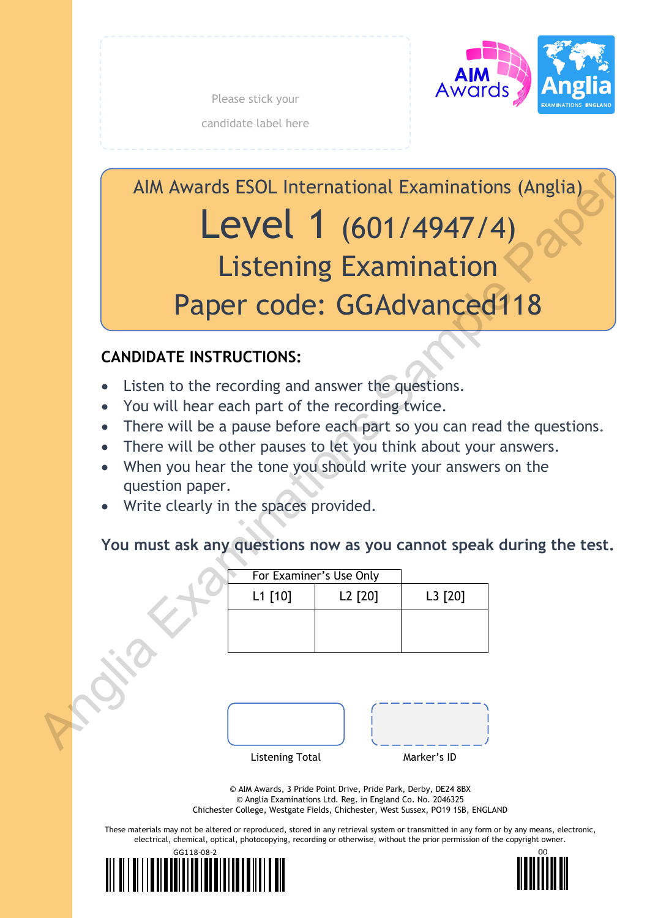

Please stick your candidate label here

AIM Awards ESOL International Examinations (Anglia) Level 1 (601/4947/4) Listening Examination Paper code: GGAdvanced118 AIM Awards ESOL International Examinations (Anglia)<br>
Listening Examination<br>
Paper code: GGAdvanced118<br>
CANDIDATE INSTRUCTIONS:<br>
• Listen to the recording and answer the questions.<br>
• You will hear each part of the recordin

# **CANDIDATE INSTRUCTIONS:**

- Listen to the recording and answer the questions.
- You will hear each part of the recording twice.
- There will be a pause before each part so you can read the questions.
- There will be other pauses to let you think about your answers.
- When you hear the tone you should write your answers on the question paper.
- Write clearly in the spaces provided.

# **You must ask any questions now as you cannot speak during the test.**

| For Examiner's Use Only |         |         |
|-------------------------|---------|---------|
| L1 [10]                 | L2 [20] | L3 [20] |
|                         |         |         |
|                         |         |         |
|                         |         |         |

| <b>Listening Total</b> | Marker's ID |
|------------------------|-------------|

© AIM Awards, 3 Pride Point Drive, Pride Park, Derby, DE24 8BX © Anglia Examinations Ltd. Reg. in England Co. No. 2046325 Chichester College, Westgate Fields, Chichester, West Sussex, PO19 1SB, ENGLAND

These materials may not be altered or reproduced, stored in any retrieval system or transmitted in any form or by any means, electronic, electrical, chemical, optical, photocopying, recording or otherwise, without the prior permission of the copyright owner.



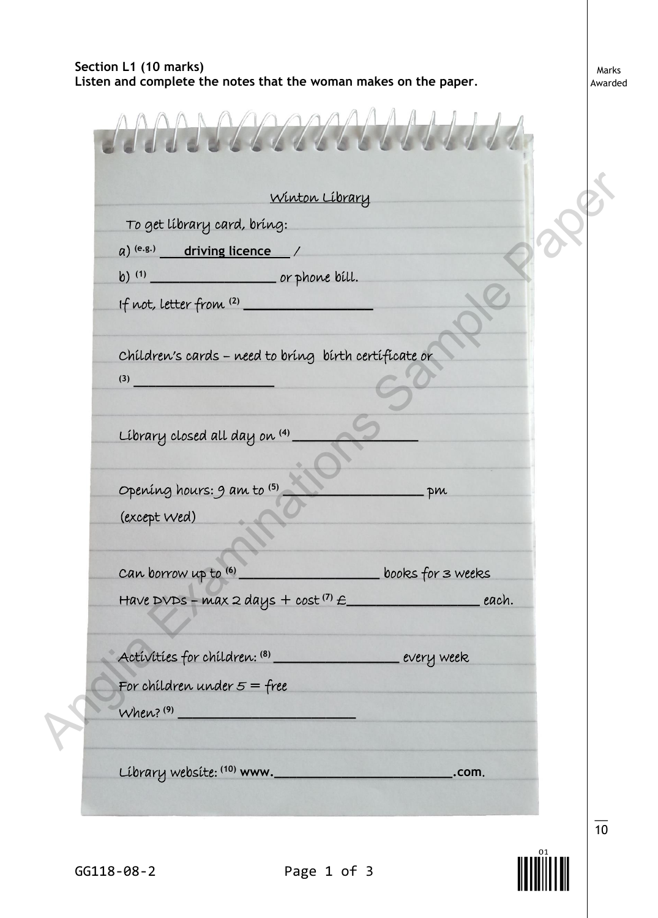### **Section L1 (10 marks) Listen and complete the notes that the woman makes on the paper***.*

Marks Awarded

|              | To get library card, bring:                                  | Winton Library |                   |       |
|--------------|--------------------------------------------------------------|----------------|-------------------|-------|
|              | $(a)$ (e.g.) driving licence /                               |                |                   |       |
|              | b) (1) or phone bill.                                        |                |                   |       |
|              | If not, letter from (2)                                      |                |                   |       |
|              | Children's cards - need to bring birth certificate or<br>(3) |                |                   |       |
|              | Library closed all day on (4)                                |                |                   |       |
|              | Opening hours: 9 am to (5)                                   |                | pm                |       |
| (except wed) |                                                              |                |                   |       |
|              | can borrow up to (6)                                         |                | books for 3 weeks |       |
|              | Have DVDs - max 2 days + cost $(7)$ $\epsilon$               |                |                   | each. |
|              | Activities for children: (8) ____________________ every week |                |                   |       |
|              | For children under $5 =$ free                                |                |                   |       |
|              | When? (9)                                                    |                |                   |       |



10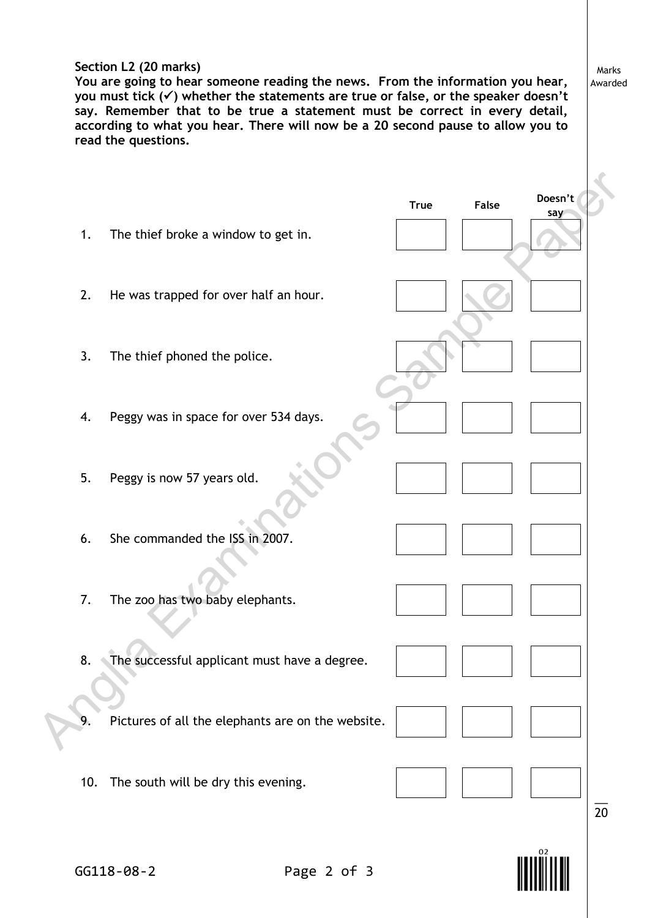#### **Section L2 (20 marks)**

**You are going to hear someone reading the news. From the information you hear, you must tick () whether the statements are true or false, or the speaker doesn't**  say. Remember that to be true a statement must be correct in every detail, **according to what you hear. There will now be a 20 second pause to allow you to read the questions.**

Marks Awarded

|     |                                                   | <b>True</b> | False | Doesn't<br>say |  |
|-----|---------------------------------------------------|-------------|-------|----------------|--|
| 1.  | The thief broke a window to get in.               |             |       |                |  |
| 2.  | He was trapped for over half an hour.             |             |       |                |  |
| 3.  | The thief phoned the police.                      |             |       |                |  |
| 4.  | Peggy was in space for over 534 days.             |             |       |                |  |
| 5.  | Peggy is now 57 years old.                        |             |       |                |  |
| 6.  | She commanded the ISS in 2007.                    |             |       |                |  |
| 7.  | The zoo has two baby elephants.                   |             |       |                |  |
| 8.  | The successful applicant must have a degree.      |             |       |                |  |
| 9.  | Pictures of all the elephants are on the website. |             |       |                |  |
| 10. | The south will be dry this evening.               |             |       | 20             |  |